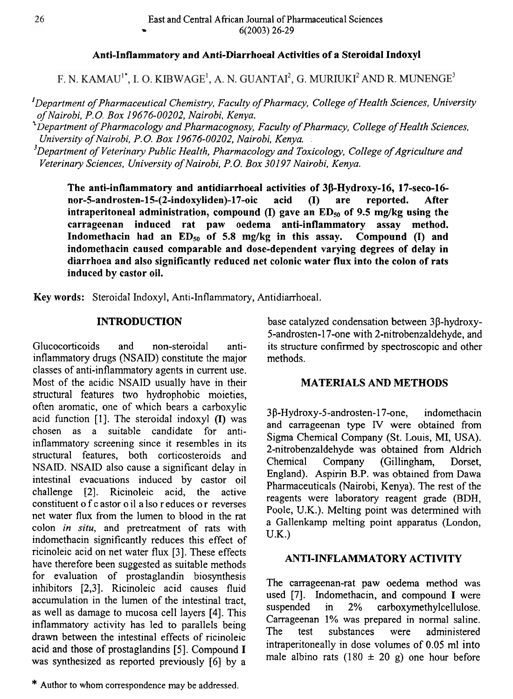## **Anti-Inflammatory and Anti-Diarrhoea1 Activities of a Steroidal Indoxyl**

F. N. KAMAU<sup>1\*</sup>, I. O. KIBWAGE<sup>1</sup>, A. N. GUANTAI<sup>2</sup>, G. MURIUKI<sup>2</sup> AND R. MUNENGE<sup>3</sup>

**<sup>I</sup>***Department of Pharmaceutical Chemistry, Faculty of Pharmacy, College of Health Sciences, University of Nairobi,* **P.O.** *Box* 19676-00202, *Nairobi, Kenya.* 

<sup>2</sup> Department of Pharmacology and Pharmacognosy, Faculty of Pharmacy, College of Health Sciences, *University of Nairobi, P.O. Box* 19676-00202, *Nairobi, Kenya.* 

*3~epartment of Veterinary Public Health, Pharmacology and Toxicology, College of Agriculture and Veterinary Sciences, University of Nairobi, P.* 0. *Box* 30 197 *Nairobi, Kenya.* 

**The anti-inflammatory and antidiarrhoeal activities of 3P-Hydroxy-16, 17-seco-16-**  The anti-inflammatory and antidiarrhoeal activities of 3ß-Hydroxy-16, 17-seco-16-<br>nor-5-androsten-15-(2-indoxyliden)-17-oic acid (I) are reported. After<br>intransuitancel administration compound (D gave an ED of 0.5 mail a m **intraperitoneal administration, compound (I) are intraperitoneal administration, compound (I) gave an ED<sub>50</sub> of 9.5 mg/kg using the carrageenan induced rat paw oedema anti-inflammatory assay method.**  Indomethacin had an  $ED_{50}$  of 5.8 mg/kg in this assay. Compound  $(1)$  and **indomethacin caused comparable and dose-dependent varying degrees of delay in diarrhoea and also significantly reduced net colonic water flux into the colon of rats induced by castor oil.** 

**Key words:** Steroidal Indoxyl, Anti-Inflammatory, Antidiarrhoeal.

Glucocorticoids and non-steroidal anti- its structure confirmed by spectroscopic and other inflammatory drugs (NSAID) constitute the major methods. classes of anti-inflammatory agents in current use. Most of the acidic NSAID usually have in their **MATERIALS AND METHODS**  structural features two hydrophobic moieties,<br>often aromatic, one of which bears a carboxylic<br>acid function [1]. The steroidal indoxyl (I) was often aromatic, one of which bears a carboxylic acid function  $[1]$ . The steroidal indoxyl  $(I)$  was chosen as a suitable candidate for antiinflammatory screening since it resembles in its structural features, both corticosteroids and NSAID. NSAID also cause a significant delay in intestinal evacuations induced by castor oil challenge [2]. Ricinoleic acid, the active constituent o f c astor o il a lso reduces or reverses net water flux from the lumen to blood in the rat colon *in situ,* and pretreatment of rats with indomethacin significantly reduces this effect of ricinoleic acid on net water flux [3]. These effects have therefore been suggested as suitable methods **ANTI-INFLAMMATORY ACTIVITY** for evaluation of prostaglandin biosynthesis inhibitors [2,3]. Ricinoleic acid causes fluid accumulation in the lumen of the intestinal tract, as well as damage to mucosa cell layers [4]. This inflammatory activity has led to parallels being drawn between the intestinal effects of ricinoleic acid and those of prostaglandins [5]. Compound **I**  was synthesized as reported previously [6] by a

**INTRODUCTION** base catalyzed condensation between 3 $\beta$ -hydroxy-5-androsten-17-one with 2-nitrobenzaldehyde, and

3 **P-Hydroxy-5-androsten-17-one,** indomethacin and carrageenan type IV were obtained from Sigma Chemical Company (St. Louis, MI, USA). 2-nitrobenzaldehyde was obtained from Aldrich<br>Chemical Company (Gillingham, Dorset, Chemical Company (Gillingham, Dorset, England). Aspirin B.P. was obtained from Dawa Pharmaceuticals (Nairobi, Kenya). The rest of the reagents were laboratory reagent grade (BDH, Poole, U.K.). Melting point was determined with a Gallenkamp melting point apparatus (London, U.K.)

The carrageenan-rat paw oedema method was used [7]. Indomethacin, and compound **I** were suspended in 2% carboxymethylcellulose. Carrageenan 1% was prepared in normal saline. The test substances were administered intraperitoneally in dose volumes of 0.05 ml into male albino rats (180  $\pm$  20 g) one hour before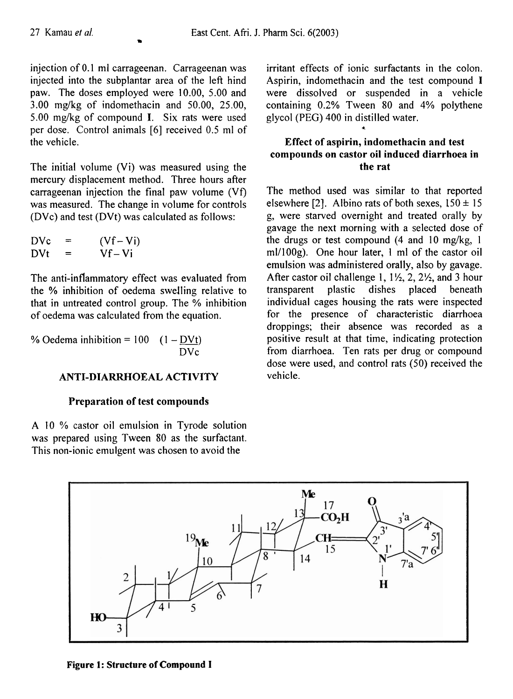injection of 0.1 ml carrageenan. Carrageenan was injected into the subplantar area of the left hind paw. The doses employed were 10.00, 5.00 and  $3.00$  mg/kg of indomethacin and  $50.00$ ,  $25.00$ , 5.00 mg/kg of compound **I.** Six rats were used per dose. Control animals [6] received 0.5 ml of the vehicle.

The initial volume (Vi) was measured using the mercury displacement method. Three hours after carrageenan injection the final paw volume (Vf) was measured. The change in volume for controls (DVc) and test (DVt) was calculated as follows:

| <b>DVc</b> | ᆕ   | $(Vf - Vi)$ |
|------------|-----|-------------|
| DVt        | $=$ | $Vf - Vi$   |

The anti-inflammatory effect was evaluated from the % inhibition of oedema swelling relative to that in untreated control group. The % inhibition of oedema was calculated from the equation.

% Oedema inhibition =  $100$  (1 - DVt) DVc

## **ANTI-DIARRHOEAL ACTIVITY**

## **Preparation of test compounds**

**A** 10 % castor oil emulsion in Tyrode solution was prepared using Tween 80 as the surfactant. This non-ionic emulgent was chosen to avoid the

irritant effects of ionic surfactants in the colon. Aspirin, indomethacin and the test compound **I**  were dissolved or suspended in a vehicle containing 0.2% Tween 80 and 4% polythene glycol (PEG) 400 in distilled water.

# **Effect of aspirin, indomethacin and test compounds on castor oil induced diarrhoea in the rat**

**4** 

The method used was similar to that reported elsewhere [2]. Albino rats of both sexes,  $150 \pm 15$ g, were starved overnight and treated orally by gavage the next morning with a selected dose of the drugs or test compound (4 and 10 mg/kg, 1 m1/100g). One hour later, 1 ml of the castor oil emulsion was administered orally, also by gavage. After castor oil challenge  $1, 1\frac{1}{2}, 2, 2\frac{1}{2}$ , and 3 hour transparent plastic dishes placed beneath individual cages housing the rats were inspected for the presence of characteristic diarrhoea droppings; their absence was recorded as a positive result at that time, indicating protection from diarrhoea. Ten rats per drug or compound dose were used, and control rats (50) received the vehicle.

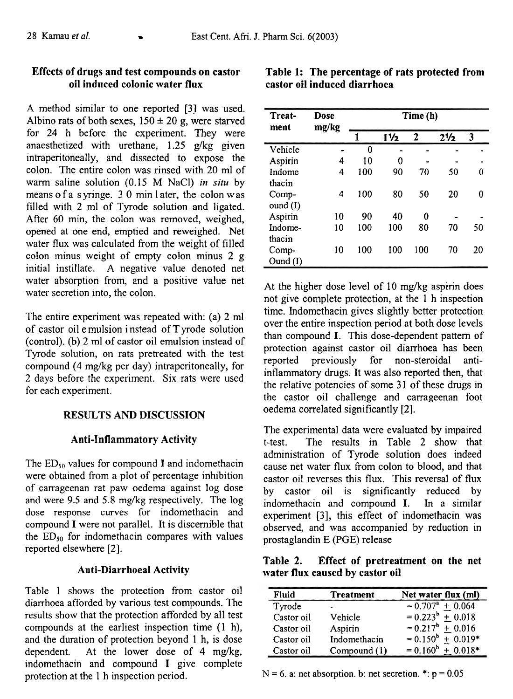# **Effects of drugs and test compounds on castor oil induced colonic water flux**

A method similar to one reported [31 was used. Albino rats of both sexes,  $150 \pm 20$  g, were starved for 24 h before the experiment. They were anaesthetized with urethane, 1.25 g/kg given intraperitoneally, and dissected to expose the colon. The entire colon was rinsed with 20 ml of warm saline solution (0.15 M NaCl) in **situ** by means of a syringe.  $30 \text{ min}$  later, the colon was filled with 2 ml of Tyrode solution and ligated. After 60 min, the colon was removed, weighed, opened at one end, emptied and reweighed. Net water flux was calculated from the weight of filled colon minus weight of empty colon minus 2 g initial instillate. A negative value denoted net water absorption from, and a positive value net water secretion into, the colon.

The entire experiment was repeated with: (a) 2 ml of castor oil e mulsion i nstead of T yrode solution (control). (b) 2 ml of castor oil emulsion instead of Tyrode solution, on rats pretreated with the test compound (4 mg/kg per day) intraperitoneally, for 2 days before the experiment. Six rats were used for each experiment.

## **RESULTS AND DISCUSSION**

## **Anti-Inflammatory Activity**

The  $ED_{50}$  values for compound I and indomethacin were obtained from a plot of percentage inhibition of carrageenan rat paw oedema against log dose and were 9.5 and 5.8 mg/kg respectively. The  $log$ dose response curves for indomethacin and compound I were not parallel. It is discernible that the  $ED_{50}$  for indomethacin compares with values reported elsewhere [2].

## **Anti-Diarrhoea1 Activity**

Table 1 shows the protection from castor oil diarrhoea afforded by various test compounds. The results show that the protection afforded by all test compounds at the earliest inspection time (1 h), and the duration of protection beyond 1 h, is dose dependent. At the lower dose of 4 mg/kg, indomethacin and compound I give complete protection at the 1 h inspection period.

| Treat-<br>ment | Dose<br>mg/kg | Time (h) |                |              |                |    |
|----------------|---------------|----------|----------------|--------------|----------------|----|
|                |               | 1        | $1\frac{1}{2}$ | $\mathbf{2}$ | $2\frac{1}{2}$ | 3  |
| Vehicle        |               | 0        |                |              |                |    |
| Aspirin        | 4             | 10       | 0              |              |                |    |
| Indome         | 4             | 100      | 90             | 70           | 50             | 0  |
| thacin         |               |          |                |              |                |    |
| Comp-          | 4             | 100      | 80             | 50           | 20             | 0  |
| ound $(I)$     |               |          |                |              |                |    |
| Aspirin        | 10            | 90       | 40             | 0            |                |    |
| Indome-        | 10            | 100      | 100            | 80           | 70             | 50 |
| thacin         |               |          |                |              |                |    |
| Comp-          | 10            | 100      | 100            | 100          | 70             | 20 |
| Ound(I)        |               |          |                |              |                |    |

At the higher dose level of 10 mg/kg aspirin does not give complete protection, at the 1 h inspection time. Indomethacin gives slightly better protection over the entire inspection period at both dose levels than compound I. This dose-dependent pattern of protection against castor oil diarrhoea has been reported previously for non-steroidal antiinflammatory drugs. It was also reported then, that the relative potencies of some **3** 1 of these drugs in the castor oil challenge and carrageenan foot oedema correlated significantly **[2].** -

The experimental data were evaluated by impaired t-test. The results in Table 2 show that administration of Tyrode solution does indeed cause net water flux from colon to blood, and that castor oil reverses this flux. This reversal of flux by castor oil is significantly reduced by indomethacin and compound I. In a similar experiment **[3],** this effect of indomethacin was observed, and was accompanied by reduction in prostaglandin E (PGE) release

**Table 2. Effect of pretreatment on the net water flux caused by castor oil** 

| Fluid      | <b>Treatment</b> | Net water flux (ml)   |
|------------|------------------|-----------------------|
| Tyrode     |                  | $= 0.707^a + 0.064$   |
| Castor oil | Vehicle          | $= 0.223^{b} + 0.018$ |
| Castor oil | Aspirin          | $= 0.217^b + 0.016$   |
| Castor oil | Indomethacin     | $= 0.150^b + 0.019^*$ |
| Castor oil | Compound (1)     | $= 0.160^b + 0.018^*$ |

 $N = 6$ . a: net absorption. b: net secretion. \*:  $p = 0.05$ 

|  |                              | Table 1: The percentage of rats protected from |  |
|--|------------------------------|------------------------------------------------|--|
|  | castor oil induced diarrhoea |                                                |  |